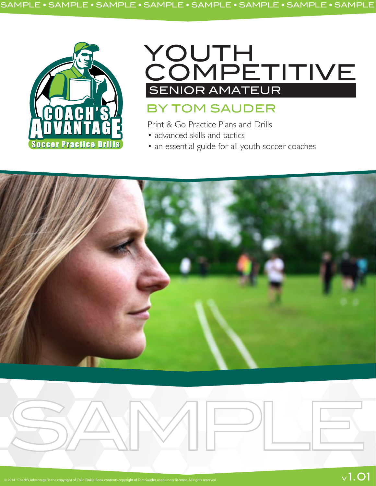

# YOUTH **COMPETITIVE** BY TOM SAUDER SENIOR AMATEUR

Print & Go Practice Plans and Drills

- advanced skills and tactics
- an essential guide for all youth soccer coaches





 $v1.01$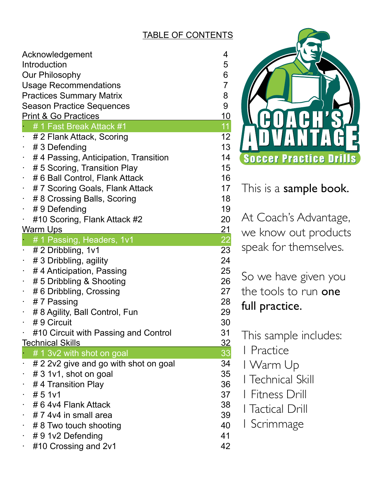#### TABLE OF CONTENTS

|   | Acknowledgement                       | 4<br>5         |  |  |
|---|---------------------------------------|----------------|--|--|
|   | Introduction                          |                |  |  |
|   | <b>Our Philosophy</b>                 | 6              |  |  |
|   | <b>Usage Recommendations</b>          | $\overline{7}$ |  |  |
|   | <b>Practices Summary Matrix</b>       | 8              |  |  |
|   | <b>Season Practice Sequences</b>      | 9              |  |  |
|   | <b>Print &amp; Go Practices</b>       | <u> 10</u>     |  |  |
|   | # 1 Fast Break Attack #1              | 11             |  |  |
|   | # 2 Flank Attack, Scoring             | 12             |  |  |
|   | # 3 Defending                         | 13             |  |  |
|   | #4 Passing, Anticipation, Transition  | 14             |  |  |
|   | # 5 Scoring, Transition Play          | 15             |  |  |
| ٠ | # 6 Ball Control, Flank Attack        | 16             |  |  |
|   | #7 Scoring Goals, Flank Attack        | 17             |  |  |
|   | # 8 Crossing Balls, Scoring           | 18             |  |  |
|   | #9 Defending                          | 19             |  |  |
|   | #10 Scoring, Flank Attack #2          | 20             |  |  |
|   | <u>Warm Ups</u>                       | <u>21</u>      |  |  |
|   | #1 Passing, Headers, 1v1              | <u>22</u>      |  |  |
|   | # 2 Dribbling, 1v1                    | 23             |  |  |
|   | # 3 Dribbling, agility                | 24             |  |  |
|   | #4 Anticipation, Passing              | 25             |  |  |
| ٠ | #5 Dribbling & Shooting               | 26             |  |  |
| ٠ | #6 Dribbling, Crossing                | 27             |  |  |
| ۰ | #7 Passing                            | 28             |  |  |
| ٠ | # 8 Agility, Ball Control, Fun        | 29             |  |  |
|   | # 9 Circuit                           | 30             |  |  |
|   | #10 Circuit with Passing and Control  | 31             |  |  |
|   | <b>Technical Skills</b>               | <u>32</u>      |  |  |
|   | # 1 3v2 with shot on goal             | 33             |  |  |
|   | # 2 2v2 give and go with shot on goal | 34             |  |  |
|   | # 3 1v1, shot on goal                 | 35             |  |  |
|   | #4 Transition Play                    | 36             |  |  |
|   | # 5 1 <sup>v</sup> 1                  | 37             |  |  |
|   | # 6 4v4 Flank Attack                  | 38             |  |  |
|   | # 7 4y4 in small area                 | 39             |  |  |
|   | # 8 Two touch shooting                | 40             |  |  |
| ٠ |                                       | 41             |  |  |
|   | # 9 1v2 Defending                     | 42             |  |  |
|   | #10 Crossing and 2v1                  |                |  |  |



This is a sample book.

At Coach's Advantage, we know out products speak for themselves.

So we have given you the tools to run one full practice.

This sample includes:

- 1 Practice
- 1 Warm Up
- 1 Technical Skill
- 1 Fitness Drill
- 1 Tactical Drill
- 1 Scrimmage
-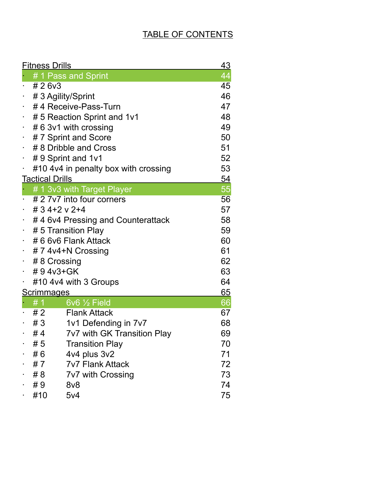### TABLE OF CONTENTS

|                                | <b>Fitness Drills</b>  |                                      |          |  |
|--------------------------------|------------------------|--------------------------------------|----------|--|
|                                |                        | #1 Pass and Sprint                   | 44       |  |
|                                | #26v3                  |                                      | 45       |  |
|                                |                        | # 3 Agility/Sprint                   | 46       |  |
| $\blacksquare$                 |                        | #4 Receive-Pass-Turn                 | 47       |  |
| ٦                              |                        | #5 Reaction Sprint and 1v1           | 48       |  |
| $\blacksquare$                 |                        | # 6 3v1 with crossing                | 49       |  |
| $\blacksquare$                 |                        | #7 Sprint and Score                  | 50       |  |
|                                |                        | # 8 Dribble and Cross                | 51       |  |
| $\blacksquare$                 |                        | #9 Sprint and 1v1                    | 52       |  |
|                                |                        | #10 4v4 in penalty box with crossing | 53       |  |
|                                | <b>Tactical Drills</b> |                                      | 54       |  |
|                                |                        | # 1 3v3 with Target Player           | 55       |  |
|                                |                        | # 2 7 v 7 into four corners          | 56       |  |
|                                |                        | # 3 4 + 2 v 2 + 4                    | 57       |  |
| ٢                              |                        | #4 6v4 Pressing and Counterattack    | 58       |  |
| $\blacksquare$                 |                        | # 5 Transition Play                  | 59       |  |
| ٠                              |                        | # 6 6 v6 Flank Attack                | 60       |  |
| f                              |                        | # 7 4v4+N Crossing                   | 61<br>62 |  |
| × 1                            | #8 Crossing            |                                      |          |  |
|                                | #94v3+GK               |                                      |          |  |
|                                |                        | #10 4v4 with 3 Groups                | 64       |  |
| <u>65</u><br><b>Scrimmages</b> |                        |                                      |          |  |
|                                | $\#$ 1                 | $6v6 \frac{1}{2}$ Field              | 66       |  |
|                                | #2                     | <b>Flank Attack</b>                  | 67       |  |
|                                | #3                     | 1v1 Defending in 7v7                 | 68       |  |
|                                | #4                     | 7v7 with GK Transition Play          | 69       |  |
|                                | # 5                    | <b>Transition Play</b>               | 70       |  |
|                                | #6                     | 4v4 plus 3v2                         | 71       |  |
|                                | #7                     | <b>7v7 Flank Attack</b>              | 72       |  |
|                                | # 8                    | 7v7 with Crossing                    | 73       |  |
|                                | # 9                    | 8v8                                  | 74       |  |
|                                | #10                    | 5v4                                  | 75       |  |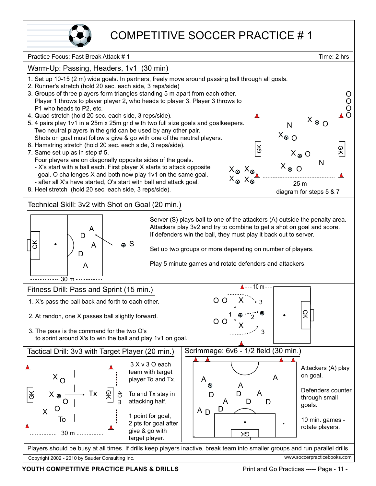

## COMPETITIVE SOCCER PRACTICE # 1



through small goals.

10 min. games rotate players.

Players should be busy at all times. If drills keep players inactive, break team into smaller groups and run parallel drills Copyright 2002 - 2010 by Sauder Consulting Inc. www.soccerpracticebooks.com

A  $_D$   $\frac{D}{D}$ 

A

attacking half.

 $\exists$ 

1 point for goal, 2 pts for goal after give & go with target player.

**YOUTH COMPETITIVE PRACTICE PLANS & DRILLS** Print and Go Practices ----- Page - 11 -

 $-30 \text{ m}$ .

O O To

X

GK

D D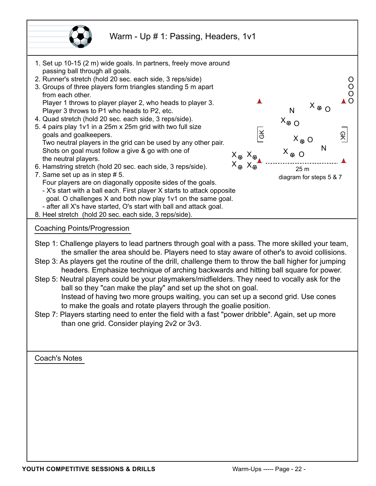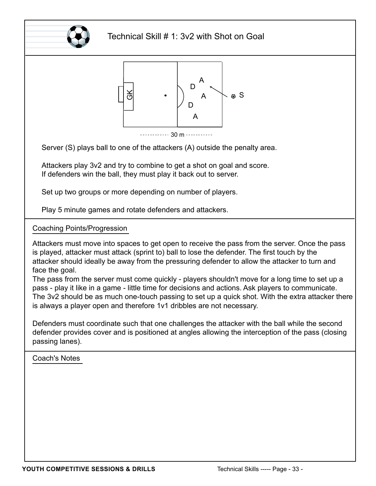

#### Technical Skill # 1: 3v2 with Shot on Goal



----------- 30 m -----------

Server (S) plays ball to one of the attackers (A) outside the penalty area.

Attackers play 3v2 and try to combine to get a shot on goal and score. If defenders win the ball, they must play it back out to server.

Set up two groups or more depending on number of players.

Play 5 minute games and rotate defenders and attackers.

Coaching Points/Progression

Attackers must move into spaces to get open to receive the pass from the server. Once the pass is played, attacker must attack (sprint to) ball to lose the defender. The first touch by the attacker should ideally be away from the pressuring defender to allow the attacker to turn and face the goal.

The pass from the server must come quickly - players shouldn't move for a long time to set up a pass - play it like in a game - little time for decisions and actions. Ask players to communicate. The 3v2 should be as much one-touch passing to set up a quick shot. With the extra attacker there is always a player open and therefore 1v1 dribbles are not necessary.

Defenders must coordinate such that one challenges the attacker with the ball while the second defender provides cover and is positioned at angles allowing the interception of the pass (closing passing lanes).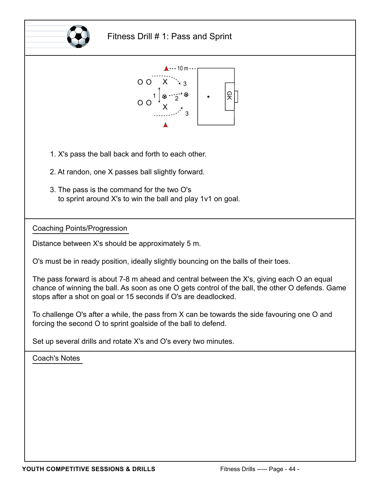

#### Fitness Drill # 1: Pass and Sprint



- 1. X's pass the ball back and forth to each other.
- 2. At randon, one X passes ball slightly forward.
- 3. The pass is the command for the two O's

Coaching Points/Progression

Distance between X's should be approximately 5 m.

O's must be in ready position, ideally slightly bouncing on the balls of their toes.

The pass forward is about 7-8 m ahead and central between the X's, giving each O an equal chance of winning the ball. As soon as one O gets control of the ball, the other O defends. Game stops after a shot on goal or 15 seconds if O's are deadlocked.

To challenge O's after a while, the pass from X can be towards the side favouring one O and forcing the second O to sprint goalside of the ball to defend.

Set up several drills and rotate X's and O's every two minutes.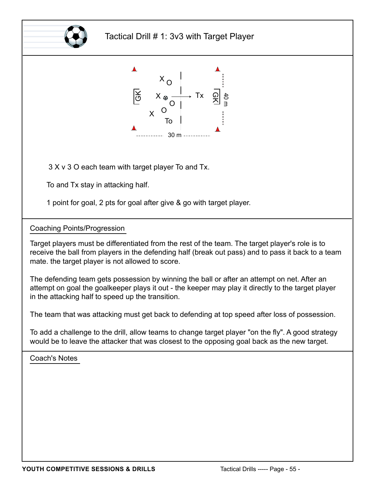

#### Tactical Drill # 1: 3v3 with Target Player



3 X v 3 O each team with target player To and Tx.

To and Tx stay in attacking half.

Coaching Points/Progression

Target players must be differentiated from the rest of the team. The target player's role is to receive the ball from players in the defending half (break out pass) and to pass it back to a team mate. the target player is not allowed to score.

The defending team gets possession by winning the ball or after an attempt on net. After an attempt on goal the goalkeeper plays it out - the keeper may play it directly to the target player in the attacking half to speed up the transition.

The team that was attacking must get back to defending at top speed after loss of possession.

To add a challenge to the drill, allow teams to change target player "on the fly". A good strategy would be to leave the attacker that was closest to the opposing goal back as the new target.